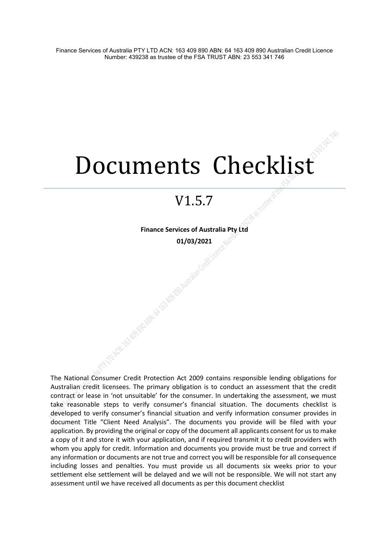# Documents Checklist

# V1.5.7

**Finance Services of Australia Pty Ltd 01/03/2021**

A River Report of the Bank of Deep Mitrajien

The National Consumer Credit Protection Act 2009 contains responsible lending obligations for Australian credit licensees. The primary obligation is to conduct an assessment that the credit contract or lease in 'not unsuitable' for the consumer. In undertaking the assessment, we must take reasonable steps to verify consumer's financial situation. The documents checklist is developed to verify consumer's financial situation and verify information consumer provides in document Title "Client Need Analysis". The documents you provide will be filed with your application. By providing the original or copy of the document all applicants consent for us to make a copy of it and store it with your application, and if required transmit it to credit providers with whom you apply for credit. Information and documents you provide must be true and correct if any information or documents are not true and correct you will be responsible for all consequence including losses and penalties. You must provide us all documents six weeks prior to your settlement else settlement will be delayed and we will not be responsible. We will not start any assessment until we have received all documents as per this document checklist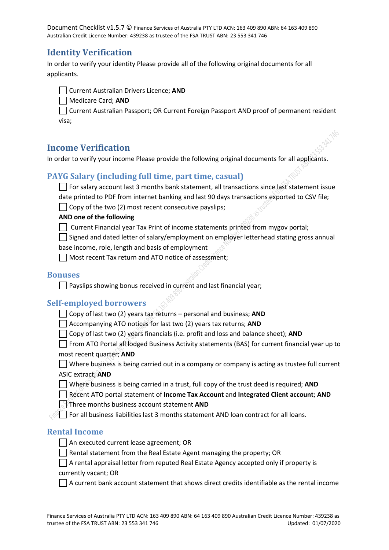# **Identity Verification**

In order to verify your identity Please provide all of the following original documents for all applicants.

Current Australian Drivers Licence; **AND**

Medicare Card; **AND**

Current Australian Passport; OR Current Foreign Passport AND proof of permanent resident visa;

# **Income Verification**

In order to verify your income Please provide the following original documents for all applicants.

# **PAYG Salary (including full time, part time, casual)**

For salary account last 3 months bank statement, all transactions since last statement issue date printed to PDF from internet banking and last 90 days transactions exported to CSV file;

 $\Box$  Copy of the two (2) most recent consecutive payslips;

#### **AND one of the following**

 $\Box$  Current Financial year Tax Print of income statements printed from mygov portal;

 $\Box$  Signed and dated letter of salary/employment on employer letterhead stating gross annual base income, role, length and basis of employment

Most recent Tax return and ATO notice of assessment;

#### **Bonuses**

 $\Box$  Payslips showing bonus received in current and last financial year;

#### **Self-employed borrowers**

Copy of last two (2) years tax returns – personal and business; **AND**

Accompanying ATO notices for last two (2) years tax returns; **AND**

Copy of last two (2) years financials (i.e. profit and loss and balance sheet); **AND**

From ATO Portal all lodged Business Activity statements (BAS) for current financial year up to

#### most recent quarter; **AND**

Where business is being carried out in a company or company is acting as trustee full current ASIC extract; **AND**

Where business is being carried in a trust, full copy of the trust deed is required; **AND**

Recent ATO portal statement of **Income Tax Account** and **Integrated Client account**; **AND**

**Three months business account statement AND** 

 $\lll$  For all business liabilities last 3 months statement AND loan contract for all loans.

#### **Rental Income**

- | An executed current lease agreement; OR
- $\Box$  Rental statement from the Real Estate Agent managing the property; OR

 $\Box$  A rental appraisal letter from reputed Real Estate Agency accepted only if property is currently vacant; OR

 $\Box$  A current bank account statement that shows direct credits identifiable as the rental income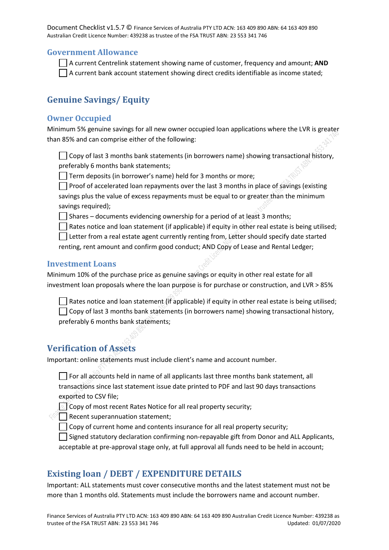#### **Government Allowance**

A current Centrelink statement showing name of customer, frequency and amount; **AND**  $\Box$  A current bank account statement showing direct credits identifiable as income stated;

# **Genuine Savings/ Equity**

#### **Owner Occupied**

Minimum 5% genuine savings for all new owner occupied loan applications where the LVR is greater than 85% and can comprise either of the following:

 $\Box$  Copy of last 3 months bank statements (in borrowers name) showing transactional history, preferably 6 months bank statements;

 $\Box$  Term deposits (in borrower's name) held for 3 months or more;

**Proof of accelerated loan repayments over the last 3 months in place of savings (existing** savings plus the value of excess repayments must be equal to or greater than the minimum savings required);

 $\Box$  Shares – documents evidencing ownership for a period of at least 3 months;

Rates notice and loan statement (if applicable) if equity in other real estate is being utilised;

Letter from a real estate agent currently renting from, Letter should specify date started

renting, rent amount and confirm good conduct; AND Copy of Lease and Rental Ledger;

#### **Investment Loans**

Minimum 10% of the purchase price as genuine savings or equity in other real estate for all investment loan proposals where the loan purpose is for purchase or construction, and LVR > 85%

Rates notice and loan statement (if applicable) if equity in other real estate is being utilised;  $\Box$  Copy of last 3 months bank statements (in borrowers name) showing transactional history, preferably 6 months bank statements;

#### **Verification of Assets**

Important: online statements must include client's name and account number.

 $\Box$  For all accounts held in name of all applicants last three months bank statement, all transactions since last statement issue date printed to PDF and last 90 days transactions exported to CSV file;

Copy of most recent Rates Notice for all real property security;

 $\mathbb{R}$  Recent superannuation statement;

 $\Box$  Copy of current home and contents insurance for all real property security;

 $\Box$  Signed statutory declaration confirming non-repayable gift from Donor and ALL Applicants, acceptable at pre-approval stage only, at full approval all funds need to be held in account;

## **Existing loan / DEBT / EXPENDITURE DETAILS**

Important: ALL statements must cover consecutive months and the latest statement must not be more than 1 months old. Statements must include the borrowers name and account number.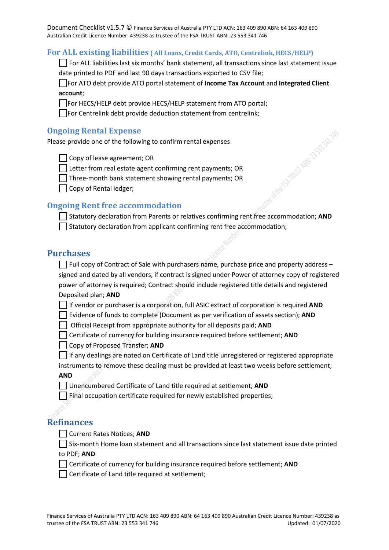#### **For ALL existing liabilities ( All Loans, Credit Cards, ATO, Centrelink, HECS/HELP)**

For ALL liabilities last six months' bank statement, all transactions since last statement issue date printed to PDF and last 90 days transactions exported to CSV file;

For ATO debt provide ATO portal statement of **Income Tax Account** and **Integrated Client account**;

For HECS/HELP debt provide HECS/HELP statement from ATO portal;

 $\Box$  For Centrelink debt provide deduction statement from centrelink;

#### **Ongoing Rental Expense**

Please provide one of the following to confirm rental expenses

Copy of lease agreement; OR

 $\Box$  Letter from real estate agent confirming rent payments; OR

Three-month bank statement showing rental payments; OR

 $\vert \ \vert$  Copy of Rental ledger;

#### **Ongoing Rent free accommodation**

Statutory declaration from Parents or relatives confirming rent free accommodation; **AND**  $\Box$  Statutory declaration from applicant confirming rent free accommodation;

#### **Purchases**

 $\Box$  Full copy of Contract of Sale with purchasers name, purchase price and property address – signed and dated by all vendors, if contract is signed under Power of attorney copy of registered power of attorney is required; Contract should include registered title details and registered Deposited plan; **AND**

If vendor or purchaser is a corporation, full ASIC extract of corporation is required **AND**

Evidence of funds to complete (Document as per verification of assets section); **AND**

Official Receipt from appropriate authority for all deposits paid; **AND**

Certificate of currency for building insurance required before settlement; **AND**

Copy of Proposed Transfer; **AND**

 $\Box$  If any dealings are noted on Certificate of Land title unregistered or registered appropriate

instruments to remove these dealing must be provided at least two weeks before settlement; **AND**

Unencumbered Certificate of Land title required at settlement; **AND**

 $\vert \ \vert$  Final occupation certificate required for newly established properties;

# **Refinances**

Current Rates Notices; **AND**

 $\Box$  Six-month Home loan statement and all transactions since last statement issue date printed to PDF; **AND**

Certificate of currency for building insurance required before settlement; **AND**

 $\Box$  Certificate of Land title required at settlement;